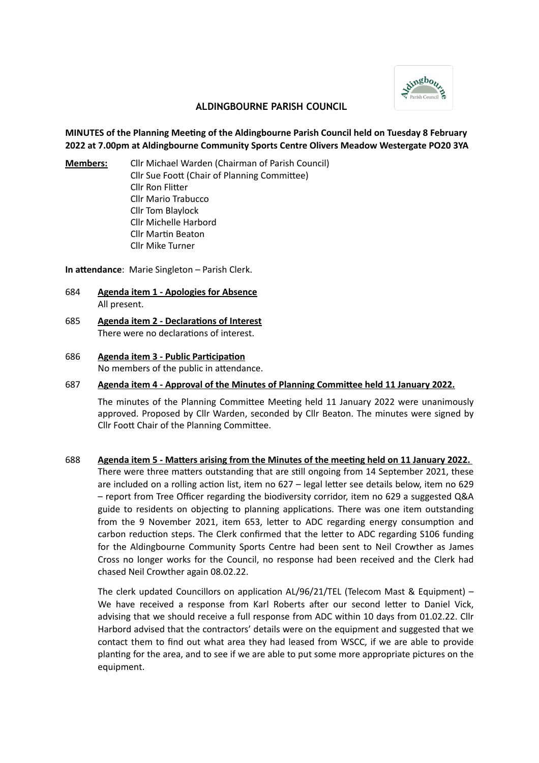

## **ALDINGBOURNE PARISH COUNCIL**

# **MINUTES of the Planning Meeting of the Aldingbourne Parish Council held on Tuesday 8 February 2022 at 7.00pm at Aldingbourne Community Sports Centre Olivers Meadow Westergate PO20 3YA**

**Members:** Cllr Michael Warden (Chairman of Parish Council) Cllr Sue Foott (Chair of Planning Committee) Cllr Ron Flitter Cllr Mario Trabucco Cllr Tom Blaylock Cllr Michelle Harbord Cllr Martin Beaton Cllr Mike Turner

**In attendance**: Marie Singleton – Parish Clerk.

- 684 **Agenda item 1 Apologies for Absence** All present.
- 685 **Agenda item 2 Declarations of Interest** There were no declarations of interest.
- 686 **Agenda item 3 Public Participation** No members of the public in attendance.
- 687 **Agenda item 4 Approval of the Minutes of Planning Committee held 11 January 2022.**

The minutes of the Planning Committee Meeting held 11 January 2022 were unanimously approved. Proposed by Cllr Warden, seconded by Cllr Beaton. The minutes were signed by Cllr Foott Chair of the Planning Committee.

688 **Agenda item 5 - Matters arising from the Minutes of the meeting held on 11 January 2022.**  There were three matters outstanding that are still ongoing from 14 September 2021, these are included on a rolling action list, item no 627 – legal letter see details below, item no 629 – report from Tree Officer regarding the biodiversity corridor, item no 629 a suggested Q&A guide to residents on objecting to planning applications. There was one item outstanding from the 9 November 2021, item 653, letter to ADC regarding energy consumption and carbon reduction steps. The Clerk confirmed that the letter to ADC regarding S106 funding for the Aldingbourne Community Sports Centre had been sent to Neil Crowther as James Cross no longer works for the Council, no response had been received and the Clerk had chased Neil Crowther again 08.02.22.

The clerk updated Councillors on application AL/96/21/TEL (Telecom Mast & Equipment) – We have received a response from Karl Roberts after our second letter to Daniel Vick, advising that we should receive a full response from ADC within 10 days from 01.02.22. Cllr Harbord advised that the contractors' details were on the equipment and suggested that we contact them to find out what area they had leased from WSCC, if we are able to provide planting for the area, and to see if we are able to put some more appropriate pictures on the equipment.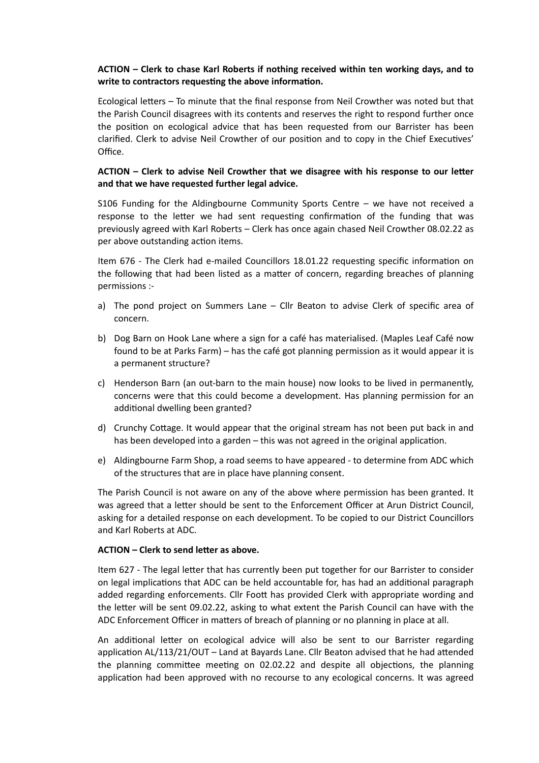# **ACTION – Clerk to chase Karl Roberts if nothing received within ten working days, and to write to contractors requesting the above information.**

Ecological letters – To minute that the final response from Neil Crowther was noted but that the Parish Council disagrees with its contents and reserves the right to respond further once the position on ecological advice that has been requested from our Barrister has been clarified. Clerk to advise Neil Crowther of our position and to copy in the Chief Executives' Office.

## **ACTION – Clerk to advise Neil Crowther that we disagree with his response to our letter and that we have requested further legal advice.**

S106 Funding for the Aldingbourne Community Sports Centre – we have not received a response to the letter we had sent requesting confirmation of the funding that was previously agreed with Karl Roberts – Clerk has once again chased Neil Crowther 08.02.22 as per above outstanding action items.

Item 676 - The Clerk had e-mailed Councillors 18.01.22 requesting specific information on the following that had been listed as a matter of concern, regarding breaches of planning permissions :-

- a) The pond project on Summers Lane Cllr Beaton to advise Clerk of specific area of concern.
- b) Dog Barn on Hook Lane where a sign for a café has materialised. (Maples Leaf Café now found to be at Parks Farm) – has the café got planning permission as it would appear it is a permanent structure?
- c) Henderson Barn (an out-barn to the main house) now looks to be lived in permanently, concerns were that this could become a development. Has planning permission for an additional dwelling been granted?
- d) Crunchy Cottage. It would appear that the original stream has not been put back in and has been developed into a garden – this was not agreed in the original application.
- e) Aldingbourne Farm Shop, a road seems to have appeared to determine from ADC which of the structures that are in place have planning consent.

The Parish Council is not aware on any of the above where permission has been granted. It was agreed that a letter should be sent to the Enforcement Officer at Arun District Council, asking for a detailed response on each development. To be copied to our District Councillors and Karl Roberts at ADC.

### **ACTION – Clerk to send letter as above.**

Item 627 - The legal letter that has currently been put together for our Barrister to consider on legal implications that ADC can be held accountable for, has had an additional paragraph added regarding enforcements. Cllr Foott has provided Clerk with appropriate wording and the letter will be sent 09.02.22, asking to what extent the Parish Council can have with the ADC Enforcement Officer in matters of breach of planning or no planning in place at all.

An additional letter on ecological advice will also be sent to our Barrister regarding application AL/113/21/OUT – Land at Bayards Lane. Cllr Beaton advised that he had attended the planning committee meeting on 02.02.22 and despite all objections, the planning application had been approved with no recourse to any ecological concerns. It was agreed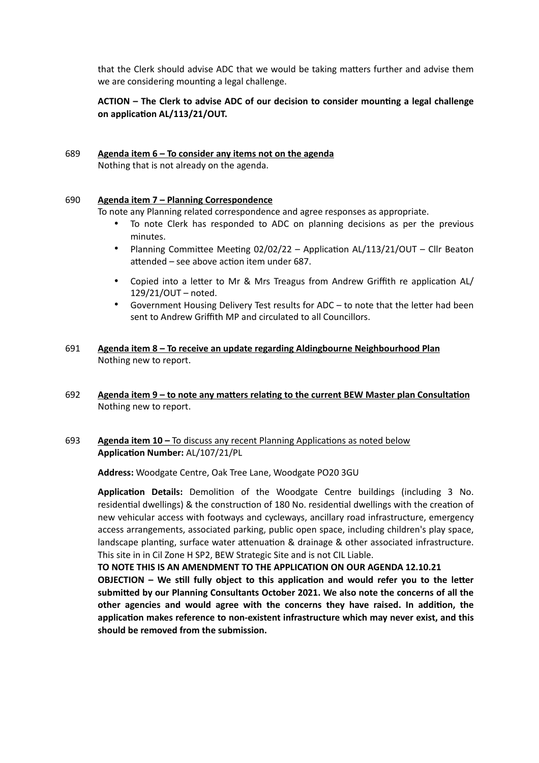that the Clerk should advise ADC that we would be taking matters further and advise them we are considering mounting a legal challenge.

# **ACTION – The Clerk to advise ADC of our decision to consider mounting a legal challenge on application AL/113/21/OUT.**

#### 689 **Agenda item 6 – To consider any items not on the agenda** Nothing that is not already on the agenda.

### 690 **Agenda item 7 – Planning Correspondence**

To note any Planning related correspondence and agree responses as appropriate.

- To note Clerk has responded to ADC on planning decisions as per the previous minutes.
- Planning Committee Meeting 02/02/22 Application AL/113/21/OUT Cllr Beaton attended – see above action item under 687.
- Copied into a letter to Mr & Mrs Treagus from Andrew Griffith re application AL/ 129/21/OUT – noted.
- Government Housing Delivery Test results for ADC to note that the letter had been sent to Andrew Griffith MP and circulated to all Councillors.
- 691 **Agenda item 8 To receive an update regarding Aldingbourne Neighbourhood Plan** Nothing new to report.
- 692 **Agenda item 9 to note any matters relating to the current BEW Master plan Consultation** Nothing new to report.
- 693 **Agenda item 10** To discuss any recent Planning Applications as noted below **Application Number:** AL/107/21/PL

**Address:** Woodgate Centre, Oak Tree Lane, Woodgate PO20 3GU

**Application Details:** Demolition of the Woodgate Centre buildings (including 3 No. residential dwellings) & the construction of 180 No. residential dwellings with the creation of new vehicular access with footways and cycleways, ancillary road infrastructure, emergency access arrangements, associated parking, public open space, including children's play space, landscape planting, surface water attenuation & drainage & other associated infrastructure. This site in in Cil Zone H SP2, BEW Strategic Site and is not CIL Liable.

**TO NOTE THIS IS AN AMENDMENT TO THE APPLICATION ON OUR AGENDA 12.10.21 OBJECTION – We still fully object to this application and would refer you to the letter submitted by our Planning Consultants October 2021. We also note the concerns of all the other agencies and would agree with the concerns they have raised. In addition, the application makes reference to non-existent infrastructure which may never exist, and this should be removed from the submission.**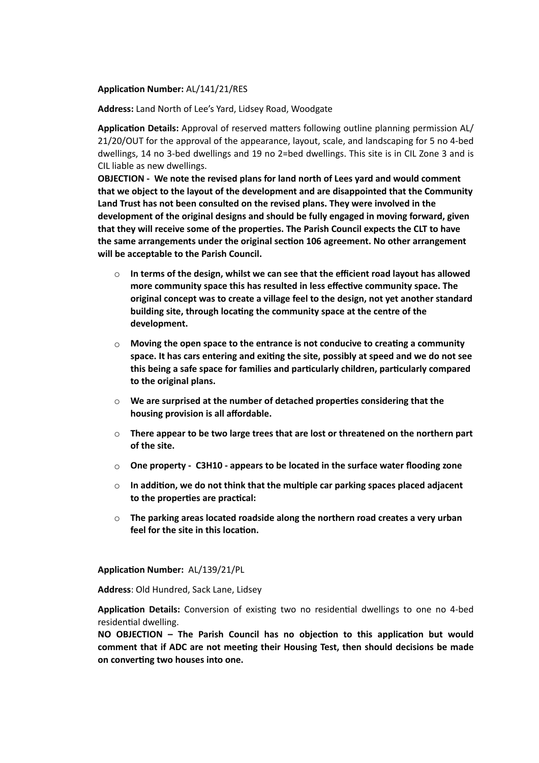### **Application Number:** AL/141/21/RES

**Address:** Land North of Lee's Yard, Lidsey Road, Woodgate

**Application Details:** Approval of reserved matters following outline planning permission AL/ 21/20/OUT for the approval of the appearance, layout, scale, and landscaping for 5 no 4-bed dwellings, 14 no 3-bed dwellings and 19 no 2=bed dwellings. This site is in CIL Zone 3 and is CIL liable as new dwellings.

**OBJECTION - We note the revised plans for land north of Lees yard and would comment that we object to the layout of the development and are disappointed that the Community Land Trust has not been consulted on the revised plans. They were involved in the development of the original designs and should be fully engaged in moving forward, given that they will receive some of the properties. The Parish Council expects the CLT to have the same arrangements under the original section 106 agreement. No other arrangement will be acceptable to the Parish Council.**

- o **In terms of the design, whilst we can see that the efficient road layout has allowed more community space this has resulted in less effective community space. The original concept was to create a village feel to the design, not yet another standard building site, through locating the community space at the centre of the development.**
- o **Moving the open space to the entrance is not conducive to creating a community space. It has cars entering and exiting the site, possibly at speed and we do not see this being a safe space for families and particularly children, particularly compared to the original plans.**
- o **We are surprised at the number of detached properties considering that the housing provision is all affordable.**
- o **There appear to be two large trees that are lost or threatened on the northern part of the site.**
- o **One property C3H10 appears to be located in the surface water flooding zone**
- o **In addition, we do not think that the multiple car parking spaces placed adjacent to the properties are practical:**
- o **The parking areas located roadside along the northern road creates a very urban feel for the site in this location.**

**Application Number:** AL/139/21/PL

**Address**: Old Hundred, Sack Lane, Lidsey

**Application Details:** Conversion of existing two no residential dwellings to one no 4-bed residential dwelling.

**NO OBJECTION – The Parish Council has no objection to this application but would comment that if ADC are not meeting their Housing Test, then should decisions be made on converting two houses into one.**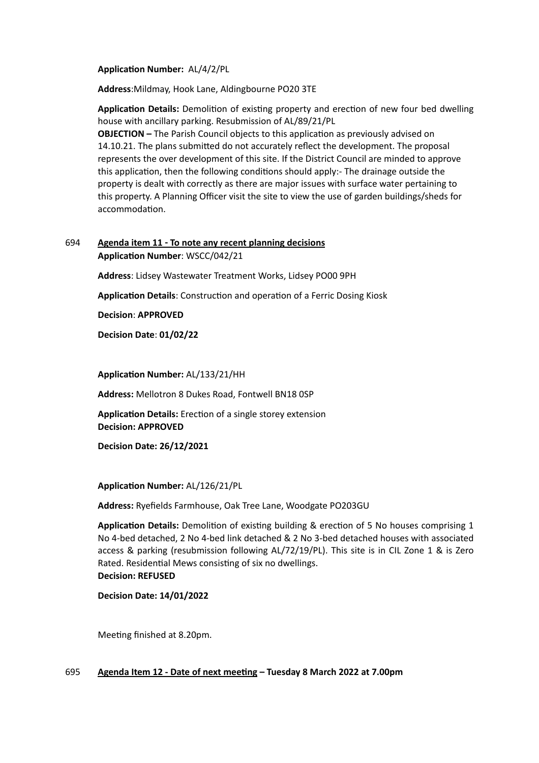**Application Number:** AL/4/2/PL

**Address**:Mildmay, Hook Lane, Aldingbourne PO20 3TE

**Application Details:** Demolition of existing property and erection of new four bed dwelling house with ancillary parking. Resubmission of AL/89/21/PL

**OBJECTION –** The Parish Council objects to this application as previously advised on 14.10.21. The plans submitted do not accurately reflect the development. The proposal represents the over development of this site. If the District Council are minded to approve this application, then the following conditions should apply:- The drainage outside the property is dealt with correctly as there are major issues with surface water pertaining to this property. A Planning Officer visit the site to view the use of garden buildings/sheds for accommodation.

## 694 **Agenda item 11 - To note any recent planning decisions Application Number**: WSCC/042/21

**Address**: Lidsey Wastewater Treatment Works, Lidsey PO00 9PH

**Application Details**: Construction and operation of a Ferric Dosing Kiosk

**Decision**: **APPROVED**

**Decision Date**: **01/02/22**

**Application Number:** AL/133/21/HH

**Address:** Mellotron 8 Dukes Road, Fontwell BN18 0SP

**Application Details:** Erection of a single storey extension **Decision: APPROVED**

**Decision Date: 26/12/2021**

**Application Number:** AL/126/21/PL

**Address:** Ryefields Farmhouse, Oak Tree Lane, Woodgate PO203GU

**Application Details:** Demolition of existing building & erection of 5 No houses comprising 1 No 4-bed detached, 2 No 4-bed link detached & 2 No 3-bed detached houses with associated access & parking (resubmission following AL/72/19/PL). This site is in CIL Zone 1 & is Zero Rated. Residential Mews consisting of six no dwellings. **Decision: REFUSED**

**Decision Date: 14/01/2022**

Meeting finished at 8.20pm.

### 695 **Agenda Item 12 - Date of next meeting – Tuesday 8 March 2022 at 7.00pm**